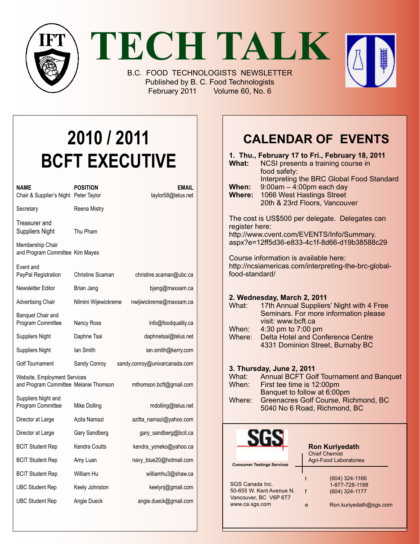



B.C. FOOD TECHNOLOGISTS NEWSLETTER Published by B. C. Food Technologists February 2011 Volume 60, No. 6

# **2010 / 2011 BCFT EXECUTIVE**

| NAME<br>Chair & Supplier's Night Peter Taylor                         | <b>POSITION</b>      | <b>EMAIL</b><br>taylor58@telus.net |
|-----------------------------------------------------------------------|----------------------|------------------------------------|
| Secretary                                                             | Reena Mistry         |                                    |
| Treasurer and<br><b>Suppliers Night</b>                               | Thu Pham             |                                    |
| Membership Chair<br>and Program Committee Kim Mayes                   |                      |                                    |
| Event and<br>PayPal Registration                                      | Christine Scaman     | christine.scaman@ubc.ca            |
| Newsletter Editor                                                     | Brian Jang           | bjang@maxxam.ca                    |
| <b>Advertising Chair</b>                                              | Nilmini Wijewickreme | nwijiwickreme@maxxam.ca            |
| Banquet Chair and<br>Program Committee                                | Nancy Ross           | info@foodquality.ca                |
| <b>Suppliers Night</b>                                                | Daphne Tsai          | daphnetsai@telus.net               |
| <b>Suppliers Night</b>                                                | lan Smith            | ian.smith@kerry.com                |
| Golf Tournament                                                       | Sandy Conroy         | sandy.conroy@univarcanada.com      |
| Website, Employment Services<br>and Program Committee Melanie Thomson |                      | mthomson.bcft@gmail.com            |
| Suppliers Night and<br>Program Committee                              | Mike Dolling         | mdolling@telus.net                 |
| Director at Large                                                     | Azita Namazi         | azitta_namazi@yahoo.com            |
| Director at Large                                                     | Gary Sandberg        | gary_sandberg@bcit.ca              |
| <b>BCIT Student Rep</b>                                               | Kendra Coutts        | kendra_yoneko@yahoo.ca             |
| <b>BCIT Student Rep</b>                                               | Amy Luan             | navy_blue20@hotmail.com            |
| <b>BCIT Student Rep</b>                                               | William Hu           | williamhu3@shaw.ca                 |
| <b>UBC Student Rep</b>                                                | Keely Johnston       | keelynj@gmail.com                  |
| <b>UBC Student Rep</b>                                                | Angie Dueck          | angie.dueck@gmail.com              |

# **Calendar Of Events**

| What:                  | 1. Thu., February 17 to Fri., February 18, 2011<br>NCSI presents a training course in<br>food safety:                                       |
|------------------------|---------------------------------------------------------------------------------------------------------------------------------------------|
| When:<br><b>Where:</b> | Interpreting the BRC Global Food Standard<br>$9:00am - 4:00pm$ each day<br>1066 West Hastings Street<br>20th & 23rd Floors, Vancouver       |
| register here:         | The cost is US\$500 per delegate. Delegates can<br>http://www.cvent.com/EVENTS/Info/Summary.<br>aspx?e=12ff5d36-e833-4c1f-8d66-d19b38588c29 |
| food-standard/         | Course information is available here:<br>http://ncsiamericas.com/interpreting-the-brc-global-                                               |
| What:                  | 2. Wednesday, March 2, 2011<br>17th Annual Suppliers' Night with 4 Free<br>Seminars. For more information please<br>visit: www.bcft.ca      |
| When:<br>Where:        | 4:30 pm to 7:00 pm<br>Delta Hotel and Conference Centre<br>4331 Dominion Street, Burnaby BC                                                 |
| What:<br>When:         | 3. Thursday, June 2, 2011<br><b>Annual BCFT Golf Tournament and Banquet</b><br>First tee time is 12:00pm<br>Banquet to follow at 6:00pm     |
| Where:                 | Greenacres Golf Course, Richmond, BC<br>5040 No 6 Road, Richmond, BC                                                                        |
|                        | <b>Ron Kuriyedath</b><br><b>Chief Chemist</b><br><b>Agri-Food Laboratories</b><br><b>Consumer Testings Services</b>                         |
| SGS Canada Inc.        | (604) 324-1166<br>t<br>1-877-728-1188<br>50-655 W. Kent Avenue N.<br>(604) 324-1177<br>f                                                    |

f (604) 324-1177

Vancouver, BC V6P 6T7 www.ca.sgs.com

e Ron.kuriyedath@sgs.com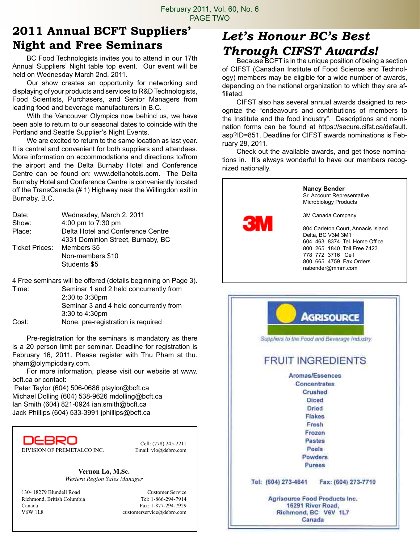### **2011 Annual BCFT Suppliers' Night and Free Seminars**

BC Food Technologists invites you to attend in our 17th Annual Suppliers' Night table top event. Our event will be held on Wednesday March 2nd, 2011.

Our show creates an opportunity for networking and displaying of your products and services to R&D Technologists, Food Scientists, Purchasers, and Senior Managers from leading food and beverage manufacturers in B.C.

With the Vancouver Olympics now behind us, we have been able to return to our seasonal dates to coincide with the Portland and Seattle Supplier's Night Events.

We are excited to return to the same location as last year. It is central and convenient for both suppliers and attendees. More information on accommodations and directions to/from the airport and the Delta Burnaby Hotel and Conference Centre can be found on: www.deltahotels.com. The Delta Burnaby Hotel and Conference Centre is conveniently located off the TransCanada (# 1) Highway near the Willingdon exit in Burnaby, B.C.

| Wednesday, March 2, 2011          |
|-----------------------------------|
| 4:00 pm to 7:30 pm                |
| Delta Hotel and Conference Centre |
| 4331 Dominion Street, Burnaby, BC |
| Members \$5                       |
| Non-members \$10                  |
| Students \$5                      |
|                                   |

4 Free seminars will be offered (details beginning on Page 3).

Time: Seminar 1 and 2 held concurrently from 2:30 to 3:30pm Seminar 3 and 4 held concurrently from 3:30 to 4:30pm Cost: None, pre-registration is required

Pre-registration for the seminars is mandatory as there is a 20 person limit per seminar. Deadline for registration is February 16, 2011. Please register with Thu Pham at thu. pham@olympicdairy.com.

For more information, please visit our website at www. bcft.ca or contact:

 Peter Taylor (604) 506-0686 ptaylor@bcft.ca Michael Dolling (604) 538-9626 mdolling@bcft.ca Ian Smith (604) 821-0924 ian.smith@bcft.ca Jack Phillips (604) 533-3991 jphillips@bcft.ca

D<del>ebr</del>o DIVISION OF PREMETALCO INC. Email: vlo@debro.com

Cell: (778) 245-2211

**Vernon Lo, M.Sc.** *Western Region Sales Manager*

130- 18279 Blundell Road Customer Service Richmond, British Columbia Tel: 1-866-294-7914 Canada Fax: 1-877-294-7929 V6W 1L8 customerservice@debro.com

# *Let's Honour BC's Best Through CIFST Awards!*

Because BCFT is in the unique position of being a section of CIFST (Canadian Institute of Food Science and Technology) members may be eligible for a wide number of awards, depending on the national organization to which they are affiliated.

CIFST also has several annual awards designed to recognize the "endeavours and contributions of members to the Institute and the food industry". Descriptions and nomination forms can be found at https://secure.cifst.ca/default. asp?ID=851. Deadline for CIFST awards nominations is February 28, 2011.

Check out the available awards, and get those nominations in. It's always wonderful to have our members recognized nationally.



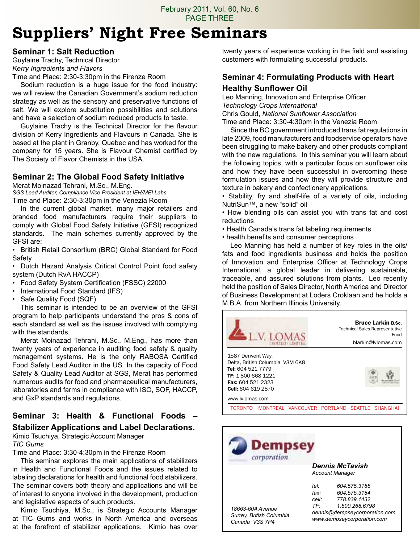# **Suppliers' Night Free Seminars**

#### **Seminar 1: Salt Reduction**

Guylaine Trachy, Technical Director *Kerry Ingredients and Flavors*

Time and Place: 2:30-3:30pm in the Firenze Room

Sodium reduction is a huge issue for the food industry: we will review the Canadian Government's sodium reduction strategy as well as the sensory and preservative functions of salt. We will explore substitution possibilities and solutions and have a selection of sodium reduced products to taste.

Guylaine Trachy is the Technical Director for the flavour division of Kerry Ingredients and Flavours in Canada. She is based at the plant in Granby, Quebec and has worked for the company for 15 years. She is Flavour Chemist certified by The Society of Flavor Chemists in the USA.

#### **Seminar 2: The Global Food Safety Initiative**

Merat Moinazad Tehrani, M.Sc., M.Eng.

*SGS Lead Auditor, Compliance Vice President at IEH/MEI Labs.* Time and Place: 2:30-3:30pm in the Venezia Room

In the current global market, many major retailers and branded food manufacturers require their suppliers to comply with Global Food Safety Initiative (GFSI) recognized standards. The main schemes currently approved by the GFSI are:

• British Retail Consortium (BRC) Global Standard for Food Safety

• Dutch Hazard Analysis Critical Control Point food safety system (Dutch RvA HACCP)

- Food Safety System Certification (FSSC) 22000
- International Food Standard (IFS)
- Safe Quality Food (SQF)

This seminar is intended to be an overview of the GFSI program to help participants understand the pros & cons of each standard as well as the issues involved with complying with the standards.

Merat Moinazad Tehrani, M.Sc., M.Eng., has more than twenty years of experience in auditing food safety & quality management systems. He is the only RABQSA Certified Food Safety Lead Auditor in the US. In the capacity of Food Safety & Quality Lead Auditor at SGS, Merat has performed numerous audits for food and pharmaceutical manufacturers, laboratories and farms in compliance with ISO, SQF, HACCP, and GxP standards and regulations.

#### **Seminar 3: Health & Functional Foods – Stabilizer Applications and Label Declarations.**

Kimio Tsuchiya, Strategic Account Manager *TIC Gums*

Time and Place: 3:30-4:30pm in the Firenze Room

This seminar explores the main applications of stabilizers in Health and Functional Foods and the issues related to labeling declarations for health and functional food stabilizers. The seminar covers both theory and applications and will be of interest to anyone involved in the development, production and legislative aspects of such products.

Kimio Tsuchiya, M.Sc., is Strategic Accounts Manager at TIC Gums and works in North America and overseas at the forefront of stabilizer applications. Kimio has over twenty years of experience working in the field and assisting customers with formulating successful products.

### **Seminar 4: Formulating Products with Heart**

#### **Healthy Sunflower Oil**

Leo Manning, Innovation and Enterprise Officer *Technology Crops International* Chris Gould, *National Sunflower Association*

Time and Place: 3:30-4:30pm in the Venezia Room

Since the BC government introduced trans fat regulations in late 2009, food manufacturers and foodservice operators have been struggling to make bakery and other products compliant with the new regulations. In this seminar you will learn about the following topics, with a particular focus on sunflower oils and how they have been successful in overcoming these formulation issues and how they will provide structure and texture in bakery and confectionery applications.

• Stability, fry and shelf-life of a variety of oils, including NutriSun™, a new "solid" oil

• How blending oils can assist you with trans fat and cost reductions

- Health Canada's trans fat labeling requirements
- health benefits and consumer perceptions

Leo Manning has held a number of key roles in the oils/ fats and food ingredients business and holds the position of Innovation and Enterprise Officer at Technology Crops International, a global leader in delivering sustainable, traceable, and assured solutions from plants. Leo recently held the position of Sales Director, North America and Director of Business Development at Loders Croklaan and he holds a M.B.A. from Northern Illinois University.



| Dempsey<br>corporation                                         |                                                        |                                                                                                                               |
|----------------------------------------------------------------|--------------------------------------------------------|-------------------------------------------------------------------------------------------------------------------------------|
|                                                                | Dennis McTavish<br><b>Account Manager</b>              |                                                                                                                               |
| 18663-60A Avenue<br>Surrey, British Columbia<br>Canada V3S 7P4 | teŀ<br>fax <sup>.</sup><br>cell <sup>-</sup><br>$TF^+$ | 604 575 3188<br>604.575.3184<br>778 839 1432<br>1.800.268.6798<br>dennis@dempseycorporation.com<br>www.dempseycorporation.com |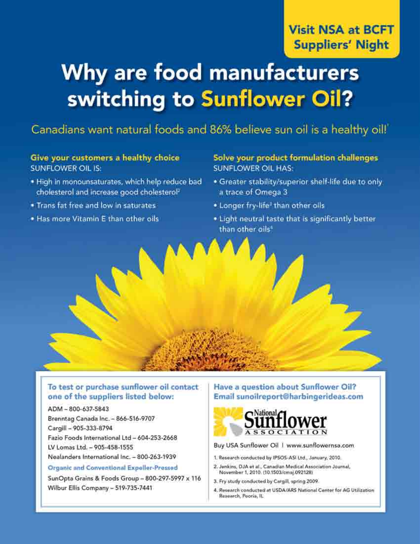# Why are food manufacturers switching to Sunflower Oil?

### Canadians want natural foods and 86% believe sun oil is a healthy oil!

#### Give your customers a healthy choice **SUNFLOWER OIL IS:**

- . High in monounsaturates, which help reduce bad cholesterol and increase good cholesterol
- . Trans fat free and low in saturates
- . Has more Vitamin E than other oils

#### Solve your product formulation challenges **SUNFLOWER OIL HAS:**

- . Greater stability/superior shelf-life due to only a trace of Omega 3
- . Longer fry-life<sup>3</sup> than other oils
- . Light neutral taste that is significantly better than other oils<sup>1</sup>

#### To test or purchase sunflower oil contact one of the suppliers listed below:

#### ADM-800-637-5843 Brenntag Canada Inc. - 866-516-9707 Cargill - 905-333-8794 Fazio Foods International Ltd - 604-253-2668 LV Lomas Ltd. - 905-458-1555

Nealanders International Inc. - 800-263-1939

#### Organic and Conventional Expeller-Pressed

SunOpta Grains & Foods Group - 800-297-5997 x 116 Wilbur Ellis Company - 519-735-7441

#### Have a question about Sunflower Oil? Email sunoilreport@harbingerideas.com



Buy USA Sunflower Oil 1 www.sunflowernsa.com

- 1. Research conducted by IPSOS-ASI Ltd., January, 2010.
- 2. Jenkins, DJA et al., Canadian Medical Association Journal. November 1, 2010. (10.1503/cmaj.092128)
- 3. Fry study conducted by Cargill, spring 2009.
- 4. Research conducted at USDA/ARS National Center for AG Utilization Research, Pooria, IL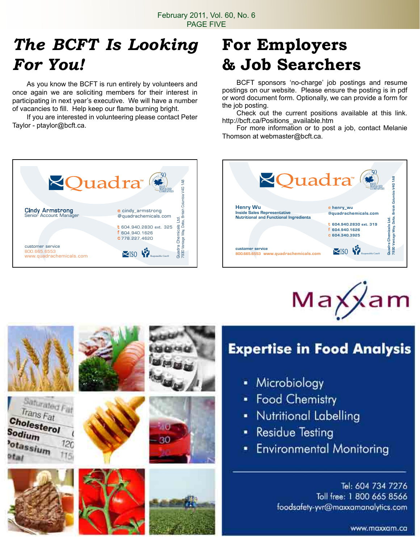# *The BCFT Is Looking For You!*

As you know the BCFT is run entirely by volunteers and once again we are soliciting members for their interest in participating in next year's executive. We will have a number of vacancies to fill. Help keep our flame burning bright.

If you are interested in volunteering please contact Peter Taylor - ptaylor@bcft.ca.

# **For Employers & Job Searchers**

BCFT sponsors 'no-charge' job postings and resume postings on our website. Please ensure the posting is in pdf or word document form. Optionally, we can provide a form for the job posting.

Check out the current positions available at this link. http://bcft.ca/Positions\_available.htm

For more information or to post a job, contact Melanie Thomson at webmaster@bcft.ca.







# **Expertise in Food Analysis**

- Microbiology
- Food Chemistry
- Nutritional Labelling
- **Residue Testing**
- **Environmental Monitoring**  $\blacksquare$

Tel: 604 734 7276 Toll free: 1 800 665 8566 foodsafety-yvr@maxxamanalytics.com

www.maxxam.ca



Saturated Fat Trans Fat

 $12<sub>C</sub>$ 

Cholesterol

otassium

Sodium

 $ct_{all}$ 











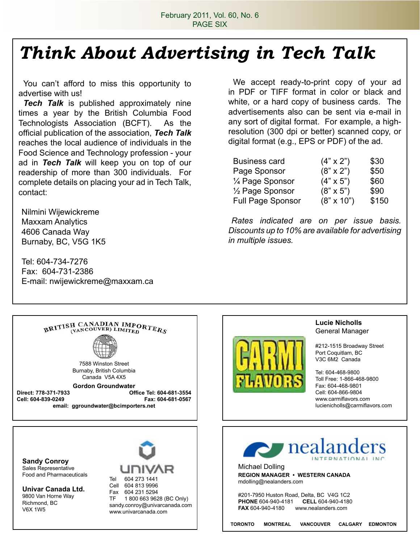# *Think About Advertising in Tech Talk*

You can't afford to miss this opportunity to advertise with us!

**Tech Talk** is published approximately nine times a year by the British Columbia Food Technologists Association (BCFT). As the official publication of the association, *Tech Talk*  reaches the local audience of individuals in the Food Science and Technology profession - your ad in *Tech Talk* will keep you on top of our readership of more than 300 individuals. For complete details on placing your ad in Tech Talk, contact:

Nilmini Wijewickreme Maxxam Analytics 4606 Canada Way Burnaby, BC, V5G 1K5

Tel: 604-734-7276 Fax: 604-731-2386 E-mail: nwijewickreme@maxxam.ca

We accept ready-to-print copy of your ad in PDF or TIFF format in color or black and white, or a hard copy of business cards. The advertisements also can be sent via e-mail in any sort of digital format. For example, a highresolution (300 dpi or better) scanned copy, or digital format (e.g., EPS or PDF) of the ad.

| <b>Business card</b>       | $(4" \times 2")$  | \$30  |
|----------------------------|-------------------|-------|
| Page Sponsor               | $(8" \times 2")$  | \$50  |
| 1/4 Page Sponsor           | $(4" \times 5")$  | \$60  |
| $\frac{1}{2}$ Page Sponsor | $(8" \times 5")$  | \$90  |
| <b>Full Page Sponsor</b>   | $(8" \times 10")$ | \$150 |

*Rates indicated are on per issue basis. Discounts up to 10% are available for advertising in multiple issues.*





#### **Lucie Nicholls** General Manager

#212-1515 Broadway Street Port Coquitlam, BC V3C 6M2 Canada

Tel: 604-468-9800 Toll Free: 1-866-468-9800 Fax: 604-468-9801 Cell: 604-866-9804 www.carmiflavors.com lucienicholls@carmiflavors.com

**Sandy Conroy** Sales Representative Food and Pharmaceuticals

**Univar Canada Ltd.** 9800 Van Horne Way Richmond, BC V6X 1W5



Cell 604 813 9996 Fax 604 231 5294 TF 1 800 663 9628 (BC Only) sandy.conroy@univarcanada.com www.univarcanada.com



Michael Dolling **REGION MANAGER • WESTERN CANADA** mdolling@nealanders.com

#201-7950 Huston Road, Delta, BC V4G 1C2 **PHONE** 604-940-4181 **CELL** 604-940-4180<br>**FAX** 604-940-4180 www.nealanders.com **FAX** 604-940-4180 www.nealanders.com

**TORONTO MONTREAL VANCOUVER CALGARY EDMONTON**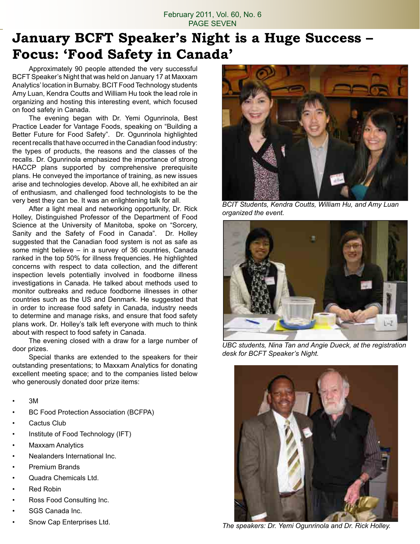February 2011, Vol. 60, No. 6 PAGE SEVEN

# **January BCFT Speaker's Night is a Huge Success – Focus: 'Food Safety in Canada'**

Approximately 90 people attended the very successful BCFT Speaker's Night that was held on January 17 at Maxxam Analytics' location in Burnaby. BCIT Food Technology students Amy Luan, Kendra Coutts and William Hu took the lead role in organizing and hosting this interesting event, which focused on food safety in Canada.

The evening began with Dr. Yemi Ogunrinola, Best Practice Leader for Vantage Foods, speaking on "Building a Better Future for Food Safety". Dr. Ogunrinola highlighted recent recalls that have occurred in the Canadian food industry: the types of products, the reasons and the classes of the recalls. Dr. Ogunrinola emphasized the importance of strong HACCP plans supported by comprehensive prerequisite plans. He conveyed the importance of training, as new issues arise and technologies develop. Above all, he exhibited an air of enthusiasm, and challenged food technologists to be the very best they can be. It was an enlightening talk for all.

After a light meal and networking opportunity, Dr. Rick Holley, Distinguished Professor of the Department of Food Science at the University of Manitoba, spoke on "Sorcery, Sanity and the Safety of Food in Canada". Dr. Holley suggested that the Canadian food system is not as safe as some might believe – in a survey of 36 countries, Canada ranked in the top 50% for illness frequencies. He highlighted concerns with respect to data collection, and the different inspection levels potentially involved in foodborne illness investigations in Canada. He talked about methods used to monitor outbreaks and reduce foodborne illnesses in other countries such as the US and Denmark. He suggested that in order to increase food safety in Canada, industry needs to determine and manage risks, and ensure that food safety plans work. Dr. Holley's talk left everyone with much to think about with respect to food safety in Canada.

The evening closed with a draw for a large number of door prizes.

Special thanks are extended to the speakers for their outstanding presentations; to Maxxam Analytics for donating excellent meeting space; and to the companies listed below who generously donated door prize items:

- 3M
- BC Food Protection Association (BCFPA)
- Cactus Club
- Institute of Food Technology (IFT)
- Maxxam Analytics
- Nealanders International Inc.
- Premium Brands
- Quadra Chemicals Ltd.
- Red Robin
- Ross Food Consulting Inc.
- SGS Canada Inc.
- Snow Cap Enterprises Ltd.



*BCIT Students, Kendra Coutts, William Hu, and Amy Luan organized the event.*



*UBC students, Nina Tan and Angie Dueck, at the registration desk for BCFT Speaker's Night.*



*The speakers: Dr. Yemi Ogunrinola and Dr. Rick Holley.*